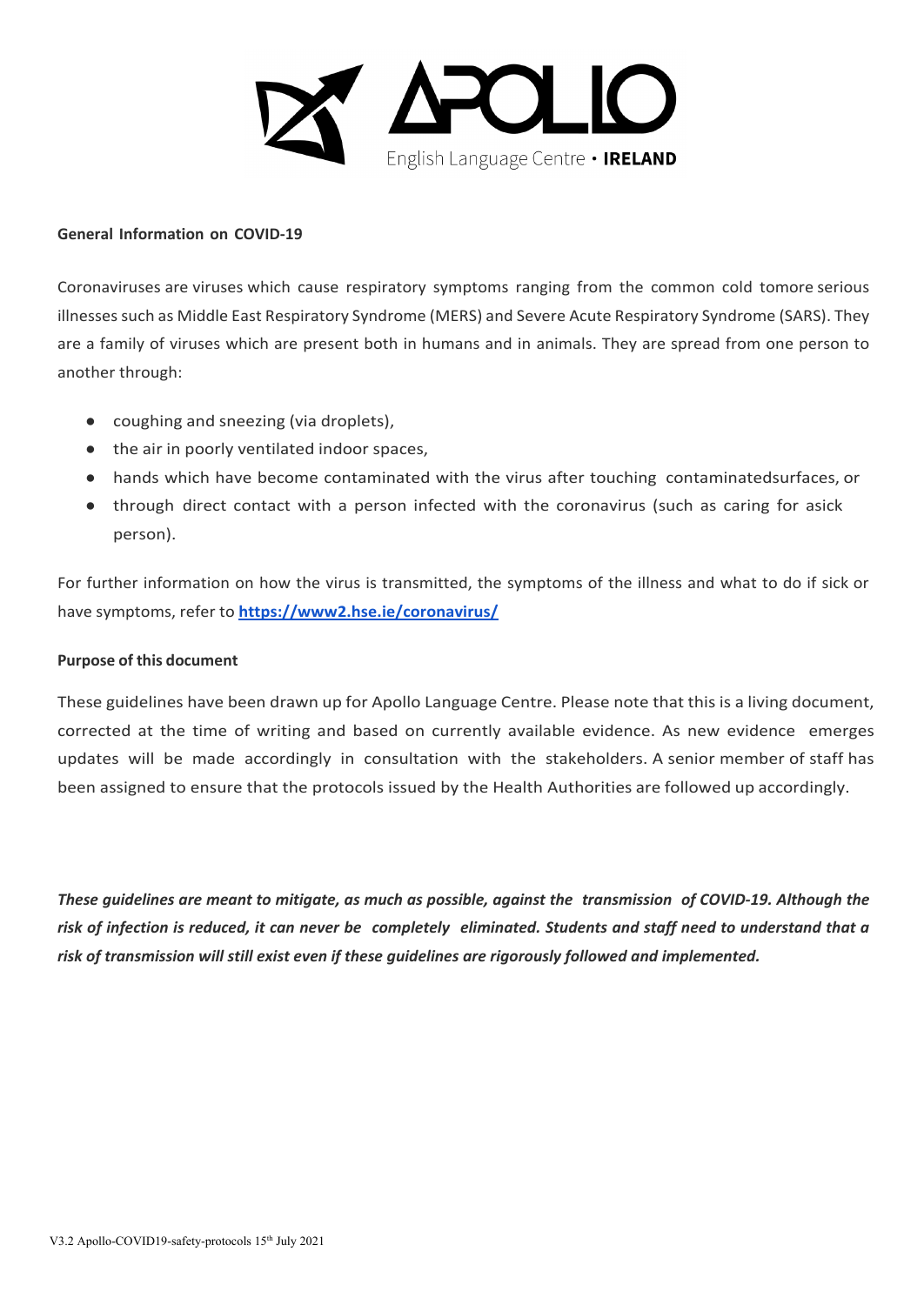

#### **General Information on COVID-19**

Coronaviruses are viruses which cause respiratory symptoms ranging from the common cold tomore serious illnesses such as Middle East Respiratory Syndrome (MERS) and Severe Acute Respiratory Syndrome (SARS). They are a family of viruses which are present both in humans and in animals. They are spread from one person to another through:

- coughing and sneezing (via droplets).
- the air in poorly ventilated indoor spaces,
- hands which have become contaminated with the virus after touching contaminatedsurfaces, or
- through direct contact with a person infected with the coronavirus (such as caring for asick person).

For further information on how the virus is transmitted, the symptoms of the illness and what to do if sick or have symptoms, refer to **<https://www2.hse.ie/coronavirus/>**

#### **Purpose of this document**

These guidelines have been drawn up for Apollo Language Centre. Please note that this is a living document, corrected at the time of writing and based on currently available evidence. As new evidence emerges updates will be made accordingly in consultation with the stakeholders. A senior member of staff has been assigned to ensure that the protocols issued by the Health Authorities are followed up accordingly.

*These guidelines are meant to mitigate, as much as possible, against the transmission of COVID-19. Although the risk of infection is reduced, it can never be completely eliminated. Students and staff need to understand that a risk of transmission will still exist even if these guidelines are rigorously followed and implemented.*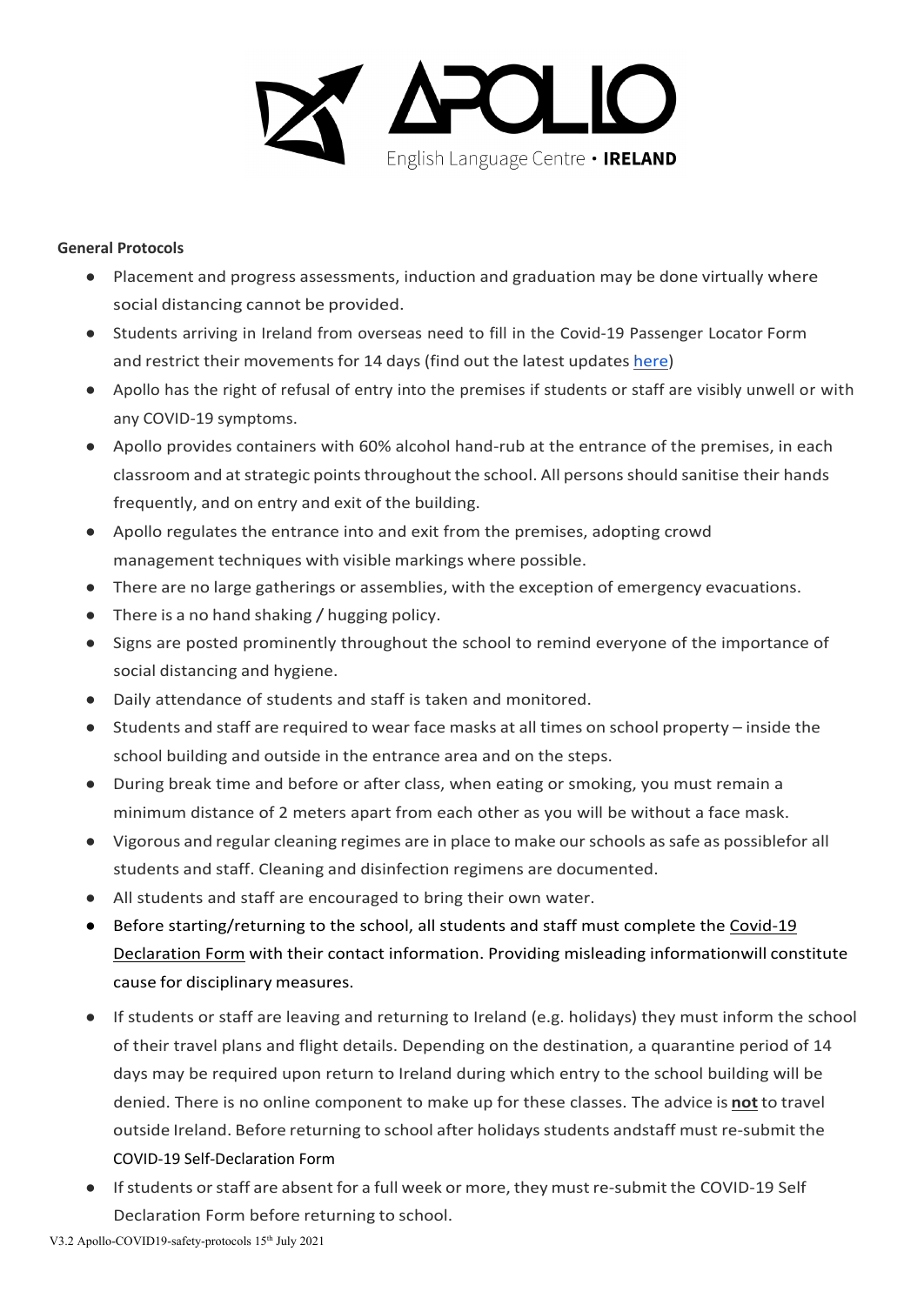

### **General Protocols**

- Placement and progress assessments, induction and graduation may be done virtually where social distancing cannot be provided.
- Students arriving in Ireland from overseas need to fill in the Covid-19 Passenger Locator Form and restrict their movements for 14 days (find out the latest updates [here\)](https://www.gov.ie/en/publication/b4020-travelling-to-ireland-during-the-covid-19-pandemic/)
- Apollo has the right of refusal of entry into the premises if students or staff are visibly unwell or with any COVID-19 symptoms.
- Apollo provides containers with 60% alcohol hand-rub at the entrance of the premises, in each classroom and at strategic points throughout the school. All persons should sanitise their hands frequently, and on entry and exit of the building.
- Apollo regulates the entrance into and exit from the premises, adopting crowd management techniques with visible markings where possible.
- There are no large gatherings or assemblies, with the exception of emergency evacuations.
- There is a no hand shaking / hugging policy.
- Signs are posted prominently throughout the school to remind everyone of the importance of social distancing and hygiene.
- Daily attendance of students and staff is taken and monitored.
- Students and staff are required to wear face masks at all times on school property inside the school building and outside in the entrance area and on the steps.
- During break time and before or after class, when eating or smoking, you must remain a minimum distance of 2 meters apart from each other as you will be without a face mask.
- Vigorous and regular cleaning regimes are in place to make our schools as safe as possiblefor all students and staff. Cleaning and disinfection regimens are documented.
- All students and staff are encouraged to bring their own water.
- Before starting/returning to the school, all students and staff must complete the Covid-19 Declaration Form with their contact information. Providing misleading informationwill constitute cause for disciplinary measures.
- If students or staff are leaving and returning to Ireland (e.g. holidays) they must inform the school of their travel plans and flight details. Depending on the destination, a quarantine period of 14 days may be required upon return to Ireland during which entry to the school building will be denied. There is no online component to make up for these classes. The advice is **not** to travel outside Ireland. Before returning to school after holidaysstudents andstaff must re-submit the COVID-19 Self-Declaration Form
- If students or staff are absent for a full week or more, they must re-submit the COVID-19 Self Declaration Form before returning to school.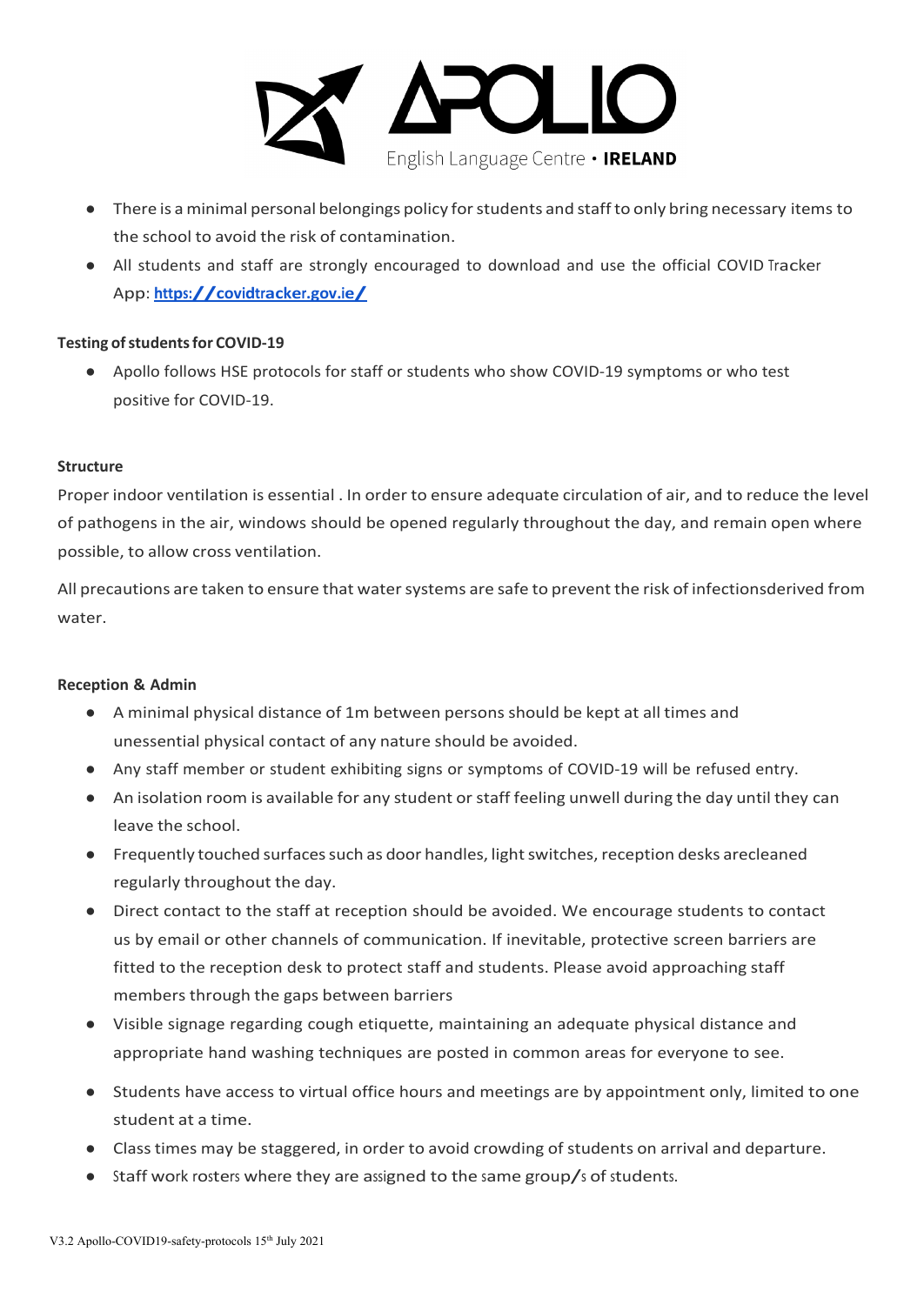

- There is a minimal personal belongings policy for students and staff to only bring necessary items to the school to avoid the risk of contamination.
- All students and staff are strongly encouraged to download and use the official COVID Tracker App: **<https://covidtracker.gov.ie/>**

## **Testing of students for COVID-19**

● Apollo follows HSE protocols for staff or students who show COVID-19 symptoms or who test positive for COVID-19.

## **Structure**

Proper indoor ventilation is essential . In order to ensure adequate circulation of air, and to reduce the level of pathogens in the air, windows should be opened regularly throughout the day, and remain open where possible, to allow cross ventilation.

All precautions are taken to ensure that water systems are safe to prevent the risk of infectionsderived from water.

## **Reception & Admin**

- A minimal physical distance of 1m between persons should be kept at all times and unessential physical contact of any nature should be avoided.
- Any staff member or student exhibiting signs or symptoms of COVID-19 will be refused entry.
- An isolation room is available for any student or staff feeling unwell during the day until they can leave the school.
- Frequently touched surfaces such as door handles, light switches, reception desks are cleaned regularly throughout the day.
- Direct contact to the staff at reception should be avoided. We encourage students to contact us by email or other channels of communication. If inevitable, protective screen barriers are fitted to the reception desk to protect staff and students. Please avoid approaching staff members through the gaps between barriers
- Visible signage regarding cough etiquette, maintaining an adequate physical distance and appropriate hand washing techniques are posted in common areas for everyone to see.
- Students have access to virtual office hours and meetings are by appointment only, limited to one student at a time.
- Class times may be staggered, in order to avoid crowding of students on arrival and departure.
- Staff work rosters where they are assigned to the same group/s of students.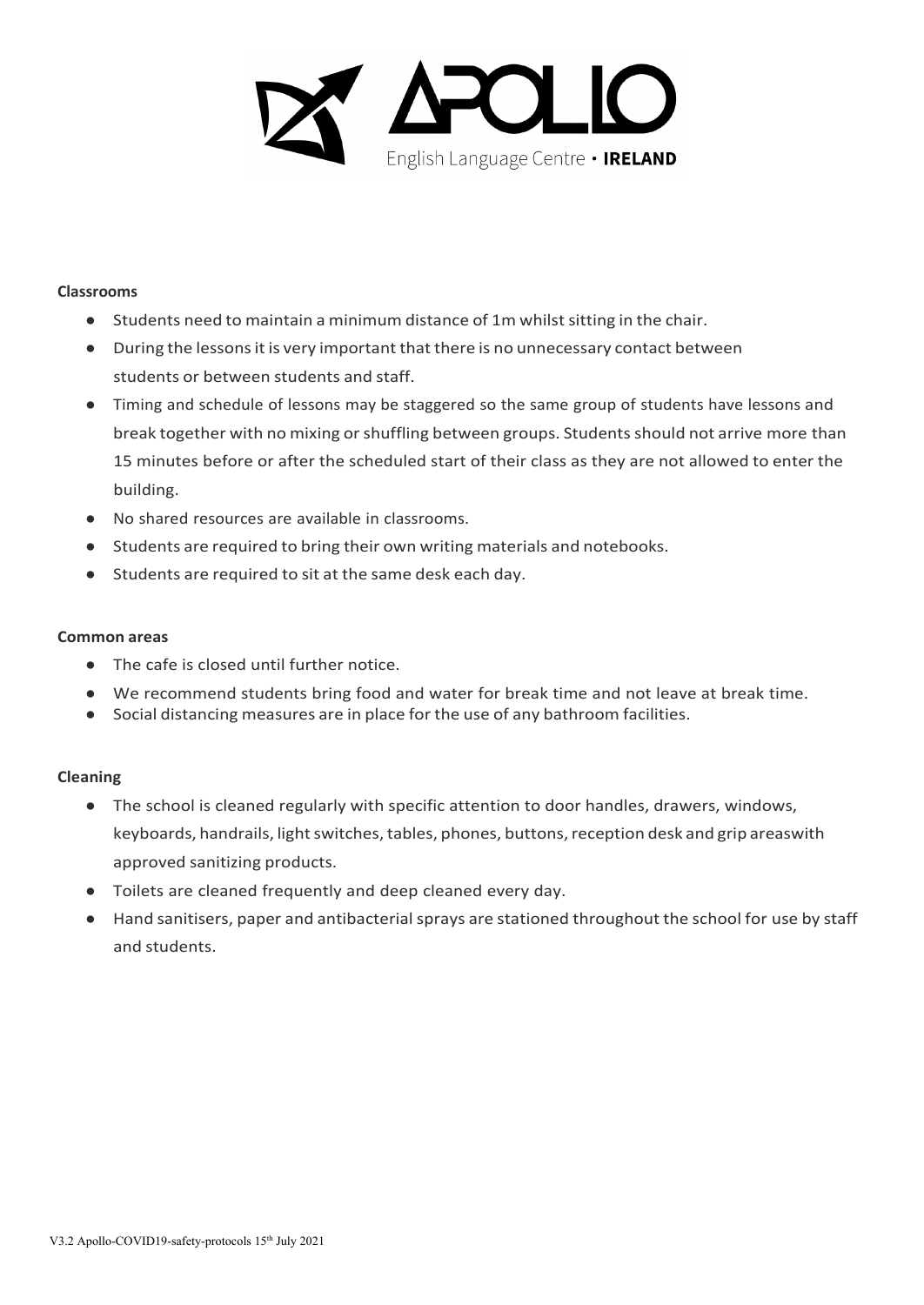

#### **Classrooms**

- Students need to maintain a minimum distance of 1m whilst sitting in the chair.
- During the lessons it is very important that there is no unnecessary contact between students or between students and staff.
- Timing and schedule of lessons may be staggered so the same group of students have lessons and break together with no mixing or shuffling between groups. Students should not arrive more than 15 minutes before or after the scheduled start of their class as they are not allowed to enter the building.
- No shared resources are available in classrooms.
- Students are required to bring their own writing materials and notebooks.
- Students are required to sit at the same desk each day.

### **Common areas**

- The cafe is closed until further notice.
- We recommend students bring food and water for break time and not leave at break time.
- Social distancing measures are in place for the use of any bathroom facilities.

## **Cleaning**

- The school is cleaned regularly with specific attention to door handles, drawers, windows, keyboards, handrails, light switches, tables, phones, buttons, reception desk and grip areas with approved sanitizing products.
- Toilets are cleaned frequently and deep cleaned every day.
- Hand sanitisers, paper and antibacterial sprays are stationed throughout the school for use by staff and students.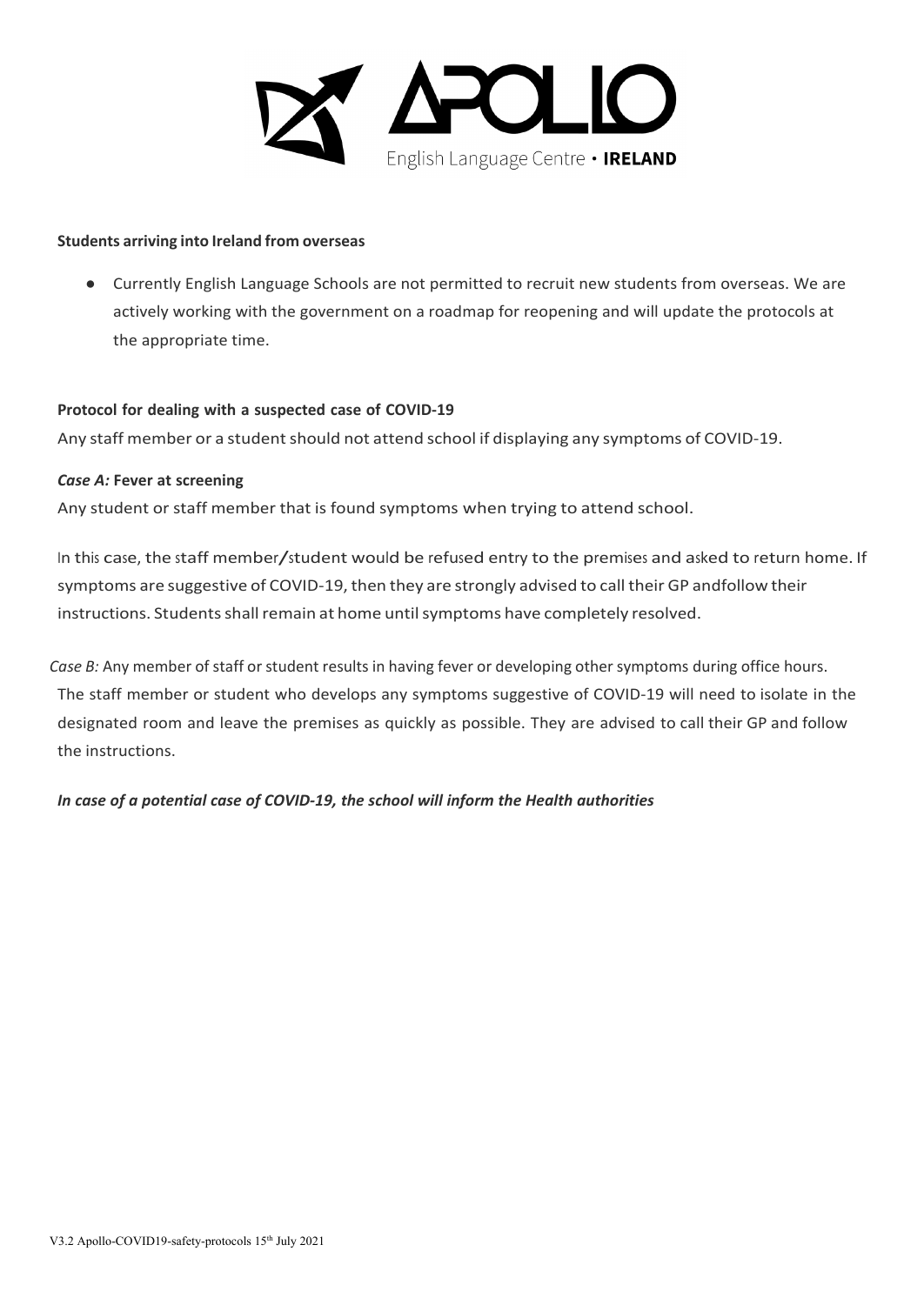

#### **Students arriving into Ireland from overseas**

● Currently English Language Schools are not permitted to recruit new students from overseas. We are actively working with the government on a roadmap for reopening and will update the protocols at the appropriate time.

### **Protocol for dealing with a suspected case of COVID-19**

Any staff member or a student should not attend school if displaying any symptoms of COVID-19.

### *Case A:* **Fever at screening**

Any student or staff member that is found symptoms when trying to attend school.

In this case, the staff member/student would be refused entry to the premises and asked to return home. If symptoms are suggestive of COVID-19, then they are strongly advised to call their GP and follow their instructions. Students shall remain at home until symptoms have completely resolved.

*Case B:* Any member of staff or student results in having fever or developing other symptoms during office hours. The staff member or student who develops any symptoms suggestive of COVID-19 will need to isolate in the designated room and leave the premises as quickly as possible. They are advised to call their GP and follow the instructions.

*In case of a potential case of COVID-19, the school will inform the Health authorities*